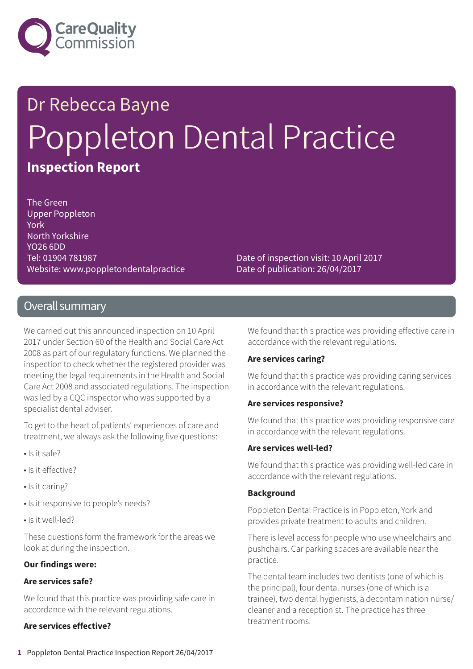

# Dr Rebecca Bayne Poppleton Dental Practice **Inspection Report**

The Green Upper Poppleton York North Yorkshire YO26 6DD Tel: 01904 781987 Website: www.poppletondentalpractice

Date of inspection visit: 10 April 2017 Date of publication: 26/04/2017

### Overall summary

We carried out this announced inspection on 10 April 2017 under Section 60 of the Health and Social Care Act 2008 as part of our regulatory functions. We planned the inspection to check whether the registered provider was meeting the legal requirements in the Health and Social Care Act 2008 and associated regulations. The inspection was led by a CQC inspector who was supported by a specialist dental adviser.

To get to the heart of patients' experiences of care and treatment, we always ask the following five questions:

- Is it safe?
- Is it effective?
- Is it caring?
- Is it responsive to people's needs?
- Is it well-led?

These questions form the framework for the areas we look at during the inspection.

### **Our findings were:**

### **Are services safe?**

We found that this practice was providing safe care in accordance with the relevant regulations.

### **Are services effective?**

We found that this practice was providing effective care in accordance with the relevant regulations.

### **Are services caring?**

We found that this practice was providing caring services in accordance with the relevant regulations.

### **Are services responsive?**

We found that this practice was providing responsive care in accordance with the relevant regulations.

### **Are services well-led?**

We found that this practice was providing well-led care in accordance with the relevant regulations.

### **Background**

Poppleton Dental Practice is in Poppleton, York and provides private treatment to adults and children.

There is level access for people who use wheelchairs and pushchairs. Car parking spaces are available near the practice.

The dental team includes two dentists (one of which is the principal), four dental nurses (one of which is a trainee), two dental hygienists, a decontamination nurse/ cleaner and a receptionist. The practice has three treatment rooms.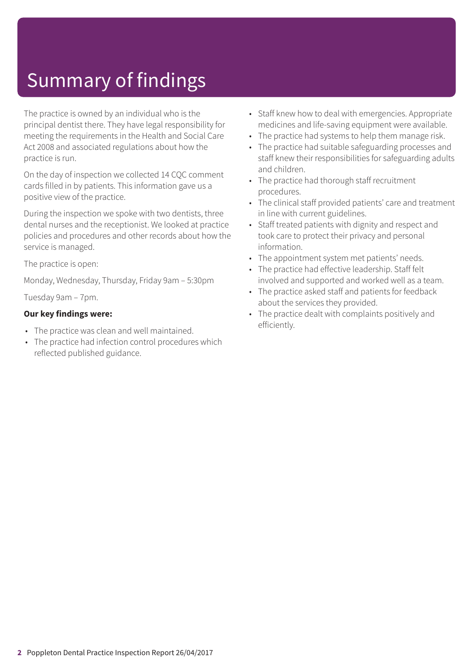## Summary of findings

The practice is owned by an individual who is the principal dentist there. They have legal responsibility for meeting the requirements in the Health and Social Care Act 2008 and associated regulations about how the practice is run.

On the day of inspection we collected 14 CQC comment cards filled in by patients. This information gave us a positive view of the practice.

During the inspection we spoke with two dentists, three dental nurses and the receptionist. We looked at practice policies and procedures and other records about how the service is managed.

The practice is open:

Monday, Wednesday, Thursday, Friday 9am – 5:30pm

Tuesday 9am – 7pm.

### **Our key findings were:**

- The practice was clean and well maintained.
- The practice had infection control procedures which reflected published guidance.
- Staff knew how to deal with emergencies. Appropriate medicines and life-saving equipment were available.
- The practice had systems to help them manage risk.
- The practice had suitable safeguarding processes and staff knew their responsibilities for safeguarding adults and children.
- The practice had thorough staff recruitment procedures.
- The clinical staff provided patients' care and treatment in line with current guidelines.
- Staff treated patients with dignity and respect and took care to protect their privacy and personal information.
- The appointment system met patients' needs.
- The practice had effective leadership. Staff felt involved and supported and worked well as a team.
- The practice asked staff and patients for feedback about the services they provided.
- The practice dealt with complaints positively and efficiently.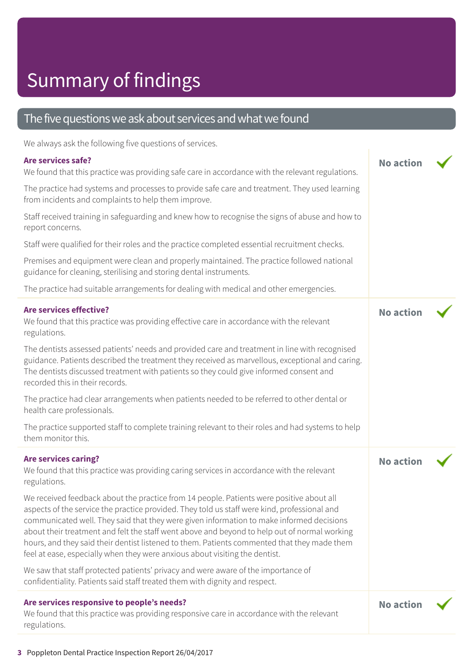## Summary of findings

## The five questions we ask about services and what we found

We always ask the following five questions of services.

## **Are services safe?**

| We always ask the following five questions of services.                                                                                                                                                                                                                                                                                                                                                                                                                                                                                                            |                  |  |
|--------------------------------------------------------------------------------------------------------------------------------------------------------------------------------------------------------------------------------------------------------------------------------------------------------------------------------------------------------------------------------------------------------------------------------------------------------------------------------------------------------------------------------------------------------------------|------------------|--|
| Are services safe?<br>We found that this practice was providing safe care in accordance with the relevant regulations.                                                                                                                                                                                                                                                                                                                                                                                                                                             | <b>No action</b> |  |
| The practice had systems and processes to provide safe care and treatment. They used learning<br>from incidents and complaints to help them improve.                                                                                                                                                                                                                                                                                                                                                                                                               |                  |  |
| Staff received training in safeguarding and knew how to recognise the signs of abuse and how to<br>report concerns.                                                                                                                                                                                                                                                                                                                                                                                                                                                |                  |  |
| Staff were qualified for their roles and the practice completed essential recruitment checks.                                                                                                                                                                                                                                                                                                                                                                                                                                                                      |                  |  |
| Premises and equipment were clean and properly maintained. The practice followed national<br>guidance for cleaning, sterilising and storing dental instruments.                                                                                                                                                                                                                                                                                                                                                                                                    |                  |  |
| The practice had suitable arrangements for dealing with medical and other emergencies.                                                                                                                                                                                                                                                                                                                                                                                                                                                                             |                  |  |
| <b>Are services effective?</b><br>We found that this practice was providing effective care in accordance with the relevant<br>regulations.                                                                                                                                                                                                                                                                                                                                                                                                                         | <b>No action</b> |  |
| The dentists assessed patients' needs and provided care and treatment in line with recognised<br>guidance. Patients described the treatment they received as marvellous, exceptional and caring.<br>The dentists discussed treatment with patients so they could give informed consent and<br>recorded this in their records.                                                                                                                                                                                                                                      |                  |  |
| The practice had clear arrangements when patients needed to be referred to other dental or<br>health care professionals.                                                                                                                                                                                                                                                                                                                                                                                                                                           |                  |  |
| The practice supported staff to complete training relevant to their roles and had systems to help<br>them monitor this.                                                                                                                                                                                                                                                                                                                                                                                                                                            |                  |  |
| <b>Are services caring?</b><br>We found that this practice was providing caring services in accordance with the relevant<br>regulations.                                                                                                                                                                                                                                                                                                                                                                                                                           | <b>No action</b> |  |
| We received feedback about the practice from 14 people. Patients were positive about all<br>aspects of the service the practice provided. They told us staff were kind, professional and<br>communicated well. They said that they were given information to make informed decisions<br>about their treatment and felt the staff went above and beyond to help out of normal working<br>hours, and they said their dentist listened to them. Patients commented that they made them<br>feel at ease, especially when they were anxious about visiting the dentist. |                  |  |
| We saw that staff protected patients' privacy and were aware of the importance of<br>confidentiality. Patients said staff treated them with dignity and respect.                                                                                                                                                                                                                                                                                                                                                                                                   |                  |  |
| Are services responsive to people's needs?<br>We found that this practice was providing responsive care in accordance with the relevant<br>regulations.                                                                                                                                                                                                                                                                                                                                                                                                            | <b>No action</b> |  |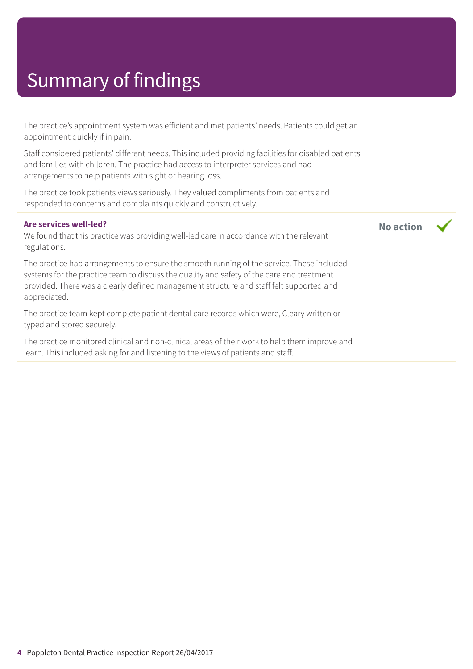# Summary of findings

| The practice's appointment system was efficient and met patients' needs. Patients could get an<br>appointment quickly if in pain.                                                                                                                                                                 |                  |  |
|---------------------------------------------------------------------------------------------------------------------------------------------------------------------------------------------------------------------------------------------------------------------------------------------------|------------------|--|
| Staff considered patients' different needs. This included providing facilities for disabled patients<br>and families with children. The practice had access to interpreter services and had<br>arrangements to help patients with sight or hearing loss.                                          |                  |  |
| The practice took patients views seriously. They valued compliments from patients and<br>responded to concerns and complaints quickly and constructively.                                                                                                                                         |                  |  |
| Are services well-led?<br>We found that this practice was providing well-led care in accordance with the relevant<br>regulations.                                                                                                                                                                 | <b>No action</b> |  |
| The practice had arrangements to ensure the smooth running of the service. These included<br>systems for the practice team to discuss the quality and safety of the care and treatment<br>provided. There was a clearly defined management structure and staff felt supported and<br>appreciated. |                  |  |
| The practice team kept complete patient dental care records which were, Cleary written or<br>typed and stored securely.                                                                                                                                                                           |                  |  |
| The practice monitored clinical and non-clinical areas of their work to help them improve and<br>learn. This included asking for and listening to the views of patients and staff.                                                                                                                |                  |  |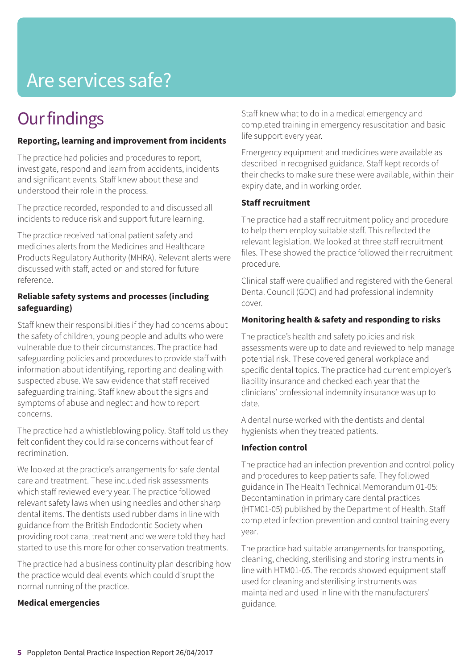## Are services safe?

## **Our findings**

### **Reporting, learning and improvement from incidents**

The practice had policies and procedures to report, investigate, respond and learn from accidents, incidents and significant events. Staff knew about these and understood their role in the process.

The practice recorded, responded to and discussed all incidents to reduce risk and support future learning.

The practice received national patient safety and medicines alerts from the Medicines and Healthcare Products Regulatory Authority (MHRA). Relevant alerts were discussed with staff, acted on and stored for future reference.

### **Reliable safety systems and processes (including safeguarding)**

Staff knew their responsibilities if they had concerns about the safety of children, young people and adults who were vulnerable due to their circumstances. The practice had safeguarding policies and procedures to provide staff with information about identifying, reporting and dealing with suspected abuse. We saw evidence that staff received safeguarding training. Staff knew about the signs and symptoms of abuse and neglect and how to report concerns.

The practice had a whistleblowing policy. Staff told us they felt confident they could raise concerns without fear of recrimination.

We looked at the practice's arrangements for safe dental care and treatment. These included risk assessments which staff reviewed every year. The practice followed relevant safety laws when using needles and other sharp dental items. The dentists used rubber dams in line with guidance from the British Endodontic Society when providing root canal treatment and we were told they had started to use this more for other conservation treatments.

The practice had a business continuity plan describing how the practice would deal events which could disrupt the normal running of the practice.

### **Medical emergencies**

Staff knew what to do in a medical emergency and completed training in emergency resuscitation and basic life support every year.

Emergency equipment and medicines were available as described in recognised guidance. Staff kept records of their checks to make sure these were available, within their expiry date, and in working order.

### **Staff recruitment**

The practice had a staff recruitment policy and procedure to help them employ suitable staff. This reflected the relevant legislation. We looked at three staff recruitment files. These showed the practice followed their recruitment procedure.

Clinical staff were qualified and registered with the General Dental Council (GDC) and had professional indemnity cover.

### **Monitoring health & safety and responding to risks**

The practice's health and safety policies and risk assessments were up to date and reviewed to help manage potential risk. These covered general workplace and specific dental topics. The practice had current employer's liability insurance and checked each year that the clinicians' professional indemnity insurance was up to date.

A dental nurse worked with the dentists and dental hygienists when they treated patients.

### **Infection control**

The practice had an infection prevention and control policy and procedures to keep patients safe. They followed guidance in The Health Technical Memorandum 01-05: Decontamination in primary care dental practices (HTM01-05) published by the Department of Health. Staff completed infection prevention and control training every year.

The practice had suitable arrangements for transporting, cleaning, checking, sterilising and storing instruments in line with HTM01-05. The records showed equipment staff used for cleaning and sterilising instruments was maintained and used in line with the manufacturers' guidance.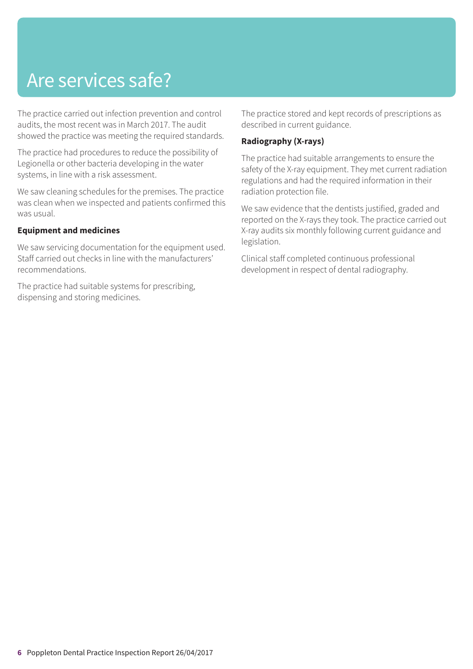## Are services safe?

The practice carried out infection prevention and control audits, the most recent was in March 2017. The audit showed the practice was meeting the required standards.

The practice had procedures to reduce the possibility of Legionella or other bacteria developing in the water systems, in line with a risk assessment.

We saw cleaning schedules for the premises. The practice was clean when we inspected and patients confirmed this was usual.

### **Equipment and medicines**

We saw servicing documentation for the equipment used. Staff carried out checks in line with the manufacturers' recommendations.

The practice had suitable systems for prescribing, dispensing and storing medicines.

The practice stored and kept records of prescriptions as described in current guidance.

### **Radiography (X-rays)**

The practice had suitable arrangements to ensure the safety of the X-ray equipment. They met current radiation regulations and had the required information in their radiation protection file.

We saw evidence that the dentists justified, graded and reported on the X-rays they took. The practice carried out X-ray audits six monthly following current guidance and legislation.

Clinical staff completed continuous professional development in respect of dental radiography.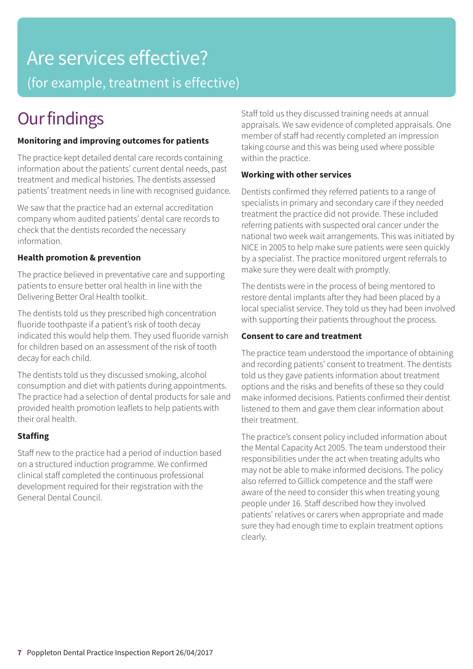# Are services effective?

(for example, treatment is effective)

## **Our findings**

### **Monitoring and improving outcomes for patients**

The practice kept detailed dental care records containing information about the patients' current dental needs, past treatment and medical histories. The dentists assessed patients' treatment needs in line with recognised guidance.

We saw that the practice had an external accreditation company whom audited patients' dental care records to check that the dentists recorded the necessary information.

### **Health promotion & prevention**

The practice believed in preventative care and supporting patients to ensure better oral health in line with the Delivering Better Oral Health toolkit.

The dentists told us they prescribed high concentration fluoride toothpaste if a patient's risk of tooth decay indicated this would help them. They used fluoride varnish for children based on an assessment of the risk of tooth decay for each child.

The dentists told us they discussed smoking, alcohol consumption and diet with patients during appointments. The practice had a selection of dental products for sale and provided health promotion leaflets to help patients with their oral health.

### **Staffing**

Staff new to the practice had a period of induction based on a structured induction programme. We confirmed clinical staff completed the continuous professional development required for their registration with the General Dental Council.

Staff told us they discussed training needs at annual appraisals. We saw evidence of completed appraisals. One member of staff had recently completed an impression taking course and this was being used where possible within the practice.

### **Working with other services**

Dentists confirmed they referred patients to a range of specialists in primary and secondary care if they needed treatment the practice did not provide. These included referring patients with suspected oral cancer under the national two week wait arrangements. This was initiated by NICE in 2005 to help make sure patients were seen quickly by a specialist. The practice monitored urgent referrals to make sure they were dealt with promptly.

The dentists were in the process of being mentored to restore dental implants after they had been placed by a local specialist service. They told us they had been involved with supporting their patients throughout the process.

### **Consent to care and treatment**

The practice team understood the importance of obtaining and recording patients' consent to treatment. The dentists told us they gave patients information about treatment options and the risks and benefits of these so they could make informed decisions. Patients confirmed their dentist listened to them and gave them clear information about their treatment.

The practice's consent policy included information about the Mental Capacity Act 2005. The team understood their responsibilities under the act when treating adults who may not be able to make informed decisions. The policy also referred to Gillick competence and the staff were aware of the need to consider this when treating young people under 16. Staff described how they involved patients' relatives or carers when appropriate and made sure they had enough time to explain treatment options clearly.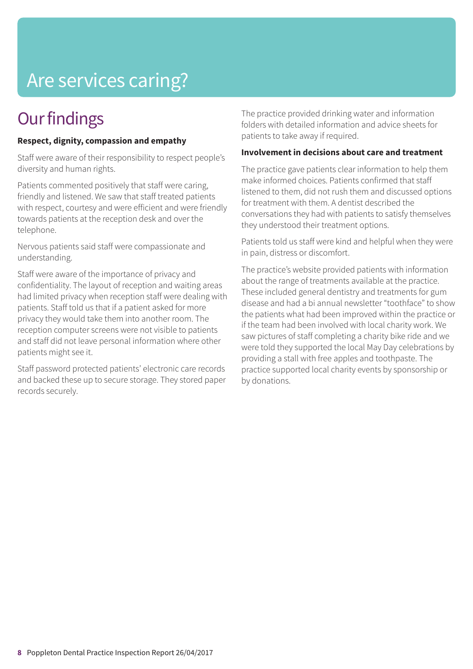## Are services caring?

## **Our findings**

### **Respect, dignity, compassion and empathy**

Staff were aware of their responsibility to respect people's diversity and human rights.

Patients commented positively that staff were caring, friendly and listened. We saw that staff treated patients with respect, courtesy and were efficient and were friendly towards patients at the reception desk and over the telephone.

Nervous patients said staff were compassionate and understanding.

Staff were aware of the importance of privacy and confidentiality. The layout of reception and waiting areas had limited privacy when reception staff were dealing with patients. Staff told us that if a patient asked for more privacy they would take them into another room. The reception computer screens were not visible to patients and staff did not leave personal information where other patients might see it.

Staff password protected patients' electronic care records and backed these up to secure storage. They stored paper records securely.

The practice provided drinking water and information folders with detailed information and advice sheets for patients to take away if required.

### **Involvement in decisions about care and treatment**

The practice gave patients clear information to help them make informed choices. Patients confirmed that staff listened to them, did not rush them and discussed options for treatment with them. A dentist described the conversations they had with patients to satisfy themselves they understood their treatment options.

Patients told us staff were kind and helpful when they were in pain, distress or discomfort.

The practice's website provided patients with information about the range of treatments available at the practice. These included general dentistry and treatments for gum disease and had a bi annual newsletter "toothface" to show the patients what had been improved within the practice or if the team had been involved with local charity work. We saw pictures of staff completing a charity bike ride and we were told they supported the local May Day celebrations by providing a stall with free apples and toothpaste. The practice supported local charity events by sponsorship or by donations.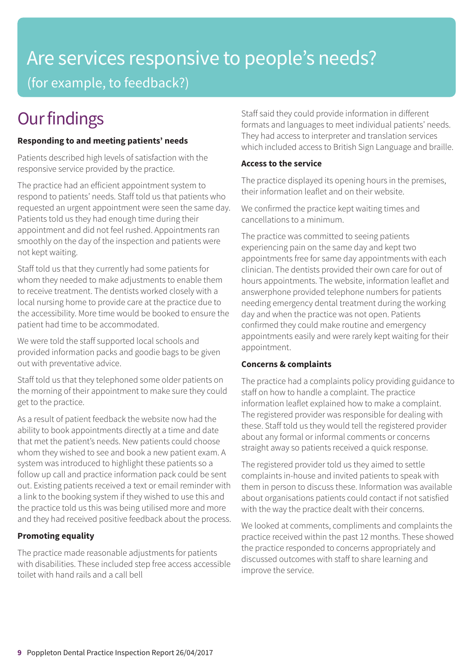## Are services responsive to people's needs? (for example, to feedback?)

## **Our findings**

### **Responding to and meeting patients' needs**

Patients described high levels of satisfaction with the responsive service provided by the practice.

The practice had an efficient appointment system to respond to patients' needs. Staff told us that patients who requested an urgent appointment were seen the same day. Patients told us they had enough time during their appointment and did not feel rushed. Appointments ran smoothly on the day of the inspection and patients were not kept waiting.

Staff told us that they currently had some patients for whom they needed to make adjustments to enable them to receive treatment. The dentists worked closely with a local nursing home to provide care at the practice due to the accessibility. More time would be booked to ensure the patient had time to be accommodated.

We were told the staff supported local schools and provided information packs and goodie bags to be given out with preventative advice.

Staff told us that they telephoned some older patients on the morning of their appointment to make sure they could get to the practice.

As a result of patient feedback the website now had the ability to book appointments directly at a time and date that met the patient's needs. New patients could choose whom they wished to see and book a new patient exam. A system was introduced to highlight these patients so a follow up call and practice information pack could be sent out. Existing patients received a text or email reminder with a link to the booking system if they wished to use this and the practice told us this was being utilised more and more and they had received positive feedback about the process.

### **Promoting equality**

The practice made reasonable adjustments for patients with disabilities. These included step free access accessible toilet with hand rails and a call bell

Staff said they could provide information in different formats and languages to meet individual patients' needs. They had access to interpreter and translation services which included access to British Sign Language and braille.

### **Access to the service**

The practice displayed its opening hours in the premises, their information leaflet and on their website.

We confirmed the practice kept waiting times and cancellations to a minimum.

The practice was committed to seeing patients experiencing pain on the same day and kept two appointments free for same day appointments with each clinician. The dentists provided their own care for out of hours appointments. The website, information leaflet and answerphone provided telephone numbers for patients needing emergency dental treatment during the working day and when the practice was not open. Patients confirmed they could make routine and emergency appointments easily and were rarely kept waiting for their appointment.

### **Concerns & complaints**

The practice had a complaints policy providing guidance to staff on how to handle a complaint. The practice information leaflet explained how to make a complaint. The registered provider was responsible for dealing with these. Staff told us they would tell the registered provider about any formal or informal comments or concerns straight away so patients received a quick response.

The registered provider told us they aimed to settle complaints in-house and invited patients to speak with them in person to discuss these. Information was available about organisations patients could contact if not satisfied with the way the practice dealt with their concerns.

We looked at comments, compliments and complaints the practice received within the past 12 months. These showed the practice responded to concerns appropriately and discussed outcomes with staff to share learning and improve the service.